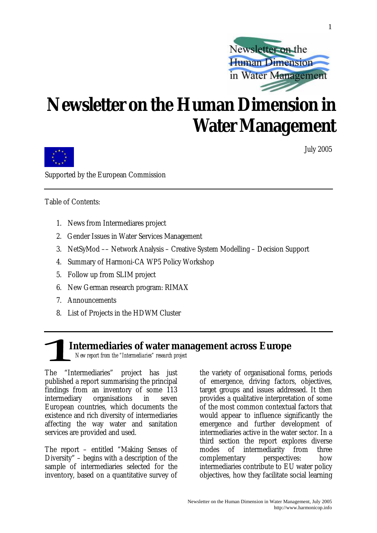

## **Newsletter on the Human Dimension in Water Management**



July 2005

1

Supported by the European Commission

Table of Contents:

- 1. News from Intermediares project
- 2. Gender Issues in Water Services Management
- 3. NetSyMod –– Network Analysis Creative System Modelling Decision Support
- 4. Summary of Harmoni-CA WP5 Policy Workshop
- 5. Follow up from SLIM project
- 6. New German research program: RIMAX
- 7. Announcements
- 8. List of Projects in the HDWM Cluster

### **Intermediaries of water management across Europe**  *New report from the "Intermediaries" research project*

The "Intermediaries" project has just published a report summarising the principal findings from an inventory of some 113 intermediary organisations in seven European countries, which documents the

existence and rich diversity of intermediaries affecting the way water and sanitation services are provided and used.

The report – entitled "Making Senses of Diversity" – begins with a description of the sample of intermediaries selected for the inventory, based on a quantitative survey of the variety of organisational forms, periods of emergence, driving factors, objectives, target groups and issues addressed. It then provides a qualitative interpretation of some of the most common contextual factors that would appear to influence significantly the emergence and further development of intermediaries active in the water sector. In a third section the report explores diverse modes of intermediarity from three complementary perspectives: how intermediaries contribute to EU water policy objectives, how they facilitate social learning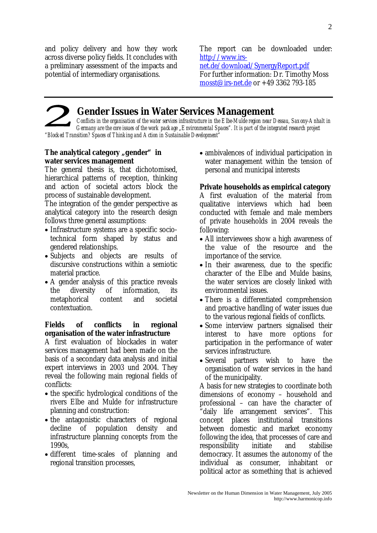and policy delivery and how they work across diverse policy fields. It concludes with a preliminary assessment of the impacts and potential of intermediary organisations.

The report can be downloaded under: http://www.irsnet.de/download/SynergyReport.pdf

For further information: Dr. Timothy Moss mosst@irs-net.de or +49 3362 793-185

## **Gender Issues in Water Services Management**

*Conflicts in the organisation of the water services infrastructure in the Elbe-Mulde region near Dessau, Saxony-Anhalt in Germany are the core issues of the work package "Environmental Spaces". It is part of the integrated research project "Blocked Transition? Spaces of Thinking and Action in Sustainable Development"*

#### The analytical category "gender" in **water services management**

The general thesis is, that dichotomised, hierarchical patterns of reception, thinking and action of societal actors block the process of sustainable development.

The integration of the gender perspective as analytical category into the research design follows three general assumptions:

- Infrastructure systems are a specific sociotechnical form shaped by status and gendered relationships.
- Subjects and objects are results of discursive constructions within a semiotic material practice.
- A gender analysis of this practice reveals the diversity of information, its metaphorical content and societal contextuation.

#### **Fields of conflicts in regional organisation of the water infrastructure**

A first evaluation of blockades in water services management had been made on the basis of a secondary data analysis and initial expert interviews in 2003 und 2004. They reveal the following main regional fields of conflicts:

- the specific hydrological conditions of the rivers Elbe and Mulde for infrastructure planning and construction:
- the antagonistic characters of regional decline of population density and infrastructure planning concepts from the 1990s,
- different time-scales of planning and regional transition processes,

• ambivalences of individual participation in water management within the tension of personal and municipal interests

#### **Private households as empirical category**

A first evaluation of the material from qualitative interviews which had been conducted with female and male members of private households in 2004 reveals the following:

- All interviewees show a high awareness of the value of the resource and the importance of the service.
- In their awareness, due to the specific character of the Elbe and Mulde basins, the water services are closely linked with environmental issues.
- There is a differentiated comprehension and proactive handling of water issues due to the various regional fields of conflicts.
- Some interview partners signalised their interest to have more options for participation in the performance of water services infrastructure.
- Several partners wish to have the organisation of water services in the hand of the municipality.

A basis for new strategies to coordinate both dimensions of economy – household and professional – can have the character of "daily life arrangement services". This concept places institutional transitions between domestic and market economy following the idea, that processes of care and responsibility initiate and stabilise democracy. It assumes the autonomy of the individual as consumer, inhabitant or political actor as something that is achieved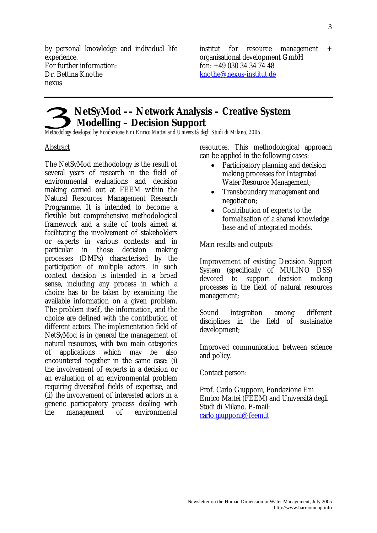by personal knowledge and individual life experience. For further information: Dr. Bettina Knothe nexus

institut for resource management + organisational development GmbH fon: +49 030 34 34 74 48 knothe@nexus-institut.de

### **NetSyMod –– Network Analysis – Creative System Modelling – Decision Support**

*Methodology developed by Fondazione Eni Enrico Mattei and Università degli Studi di Milano, 2005.* 

#### Abstract

The NetSyMod methodology is the result of several years of research in the field of environmental evaluations and decision making carried out at FEEM within the Natural Resources Management Research Programme. It is intended to become a flexible but comprehensive methodological framework and a suite of tools aimed at facilitating the involvement of stakeholders or experts in various contexts and in particular in those decision making processes (DMPs) characterised by the participation of multiple actors. In such context decision is intended in a broad sense, including any process in which a choice has to be taken by examining the available information on a given problem. The problem itself, the information, and the choice are defined with the contribution of different actors. The implementation field of NetSyMod is in general the management of natural resources, with two main categories of applications which may be also encountered together in the same case: (i) the involvement of experts in a decision or an evaluation of an environmental problem requiring diversified fields of expertise, and (ii) the involvement of interested actors in a generic participatory process dealing with the management of environmental

resources. This methodological approach can be applied in the following cases:

- Participatory planning and decision making processes for Integrated Water Resource Management;
- Transboundary management and negotiation;
- Contribution of experts to the formalisation of a shared knowledge base and of integrated models.

#### Main results and outputs

Improvement of existing Decision Support System (specifically of MULINO DSS) devoted to support decision making processes in the field of natural resources management;

Sound integration among different disciplines in the field of sustainable development;

Improved communication between science and policy.

#### Contact person:

Prof. Carlo Giupponi, Fondazione Eni Enrico Mattei (FEEM) and Università degli Studi di Milano. E-mail: carlo.giupponi@feem.it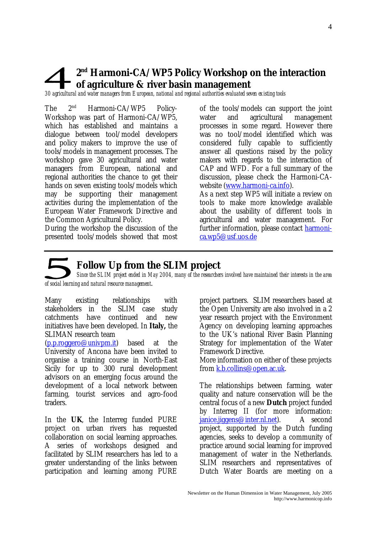### **2nd Harmoni-CA/WP5 Policy Workshop on the interaction of agriculture & river basin management**

*30 agricultural and water managers from European, national and regional authorities evaluated seven existing tools* 

The  $2^{nd}$  Harmoni-CA/WP5 Policy-Workshop was part of Harmoni-CA/WP5, which has established and maintains a dialogue between tool/model developers and policy makers to improve the use of tools/models in management processes. The workshop gave 30 agricultural and water managers from European, national and regional authorities the chance to get their hands on seven existing tools/models which may be supporting their management activities during the implementation of the European Water Framework Directive and the Common Agricultural Policy.

During the workshop the discussion of the presented tools/models showed that most of the tools/models can support the joint water and agricultural management processes in some regard. However there was no tool/model identified which was considered fully capable to sufficiently answer all questions raised by the policy makers with regards to the interaction of CAP and WFD. For a full summary of the discussion, please check the Harmoni-CAwebsite (www.harmoni-ca.info).

As a next step WP5 will initiate a review on tools to make more knowledge available about the usability of different tools in agricultural and water management. For further information, please contact harmonica.wp5@usf.uos.de

## **Follow Up from the SLIM project**

*Since the SLIM project ended in May 2004, many of the researchers involved have maintained their interests in the area of social learning and natural resource management*.

Many existing relationships with stakeholders in the SLIM case study catchments have continued and new initiatives have been developed. In **Italy,** the SLIMAN research team

(p.p.roggero@univpm.it) based at the University of Ancona have been invited to organise a training course in North-East Sicily for up to 300 rural development advisors on an emerging focus around the development of a local network between farming, tourist services and agro-food traders.

In the **UK**, the Interreg funded PURE project on urban rivers has requested collaboration on social learning approaches. A series of workshops designed and facilitated by SLIM researchers has led to a greater understanding of the links between participation and learning among PURE project partners. SLIM researchers based at the Open University are also involved in a 2 year research project with the Environment Agency on developing learning approaches to the UK's national River Basin Planning Strategy for implementation of the Water Framework Directive.

More information on either of these projects from k.b.collins@open.ac.uk.

The relationships between farming, water quality and nature conservation will be the central focus of a new **Dutch** project funded by Interreg II (for more information: janice.jiggens@inter.nl.net). A second project, supported by the Dutch funding agencies, seeks to develop a community of practice around social learning for improved management of water in the Netherlands. SLIM researchers and representatives of Dutch Water Boards are meeting on a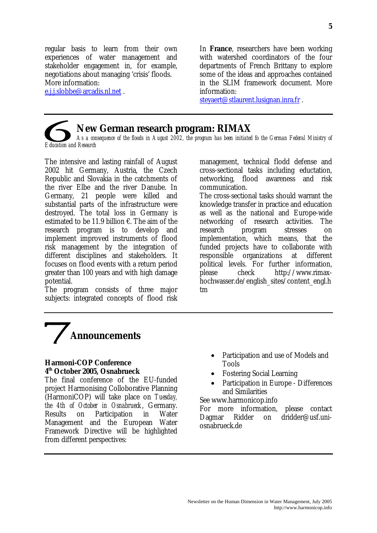regular basis to learn from their own experiences of water management and stakeholder engagement in, for example, negotiations about managing 'crisis' floods. More information:

e.i.i.slobbe@arcadis.nl.net.

In **France**, researchers have been working with watershed coordinators of the four departments of French Brittany to explore some of the ideas and approaches contained in the SLIM framework document. More information:

steyaert@stlaurent.lusignan.inra.fr .

#### **New German research program: RIMAX**

*As a consequence of the floods in August 2002, the program has been initiated fo the German Federal Ministry of Education and Research* 

The intensive and lasting rainfall of August 2002 hit Germany, Austria, the Czech Republic and Slovakia in the catchments of the river Elbe and the river Danube. In Germany, 21 people were killed and substantial parts of the infrastructure were destroyed. The total loss in Germany is estimated to be 11.9 billion  $\epsilon$ . The aim of the research program is to develop and implement improved instruments of flood risk management by the integration of different disciplines and stakeholders. It focuses on flood events with a return period greater than 100 years and with high damage potential.

The program consists of three major subjects: integrated concepts of flood risk management, technical flodd defense and cross-sectional tasks including eductation, networking, flood awareness and risk communication.

The cross-sectional tasks should warrant the knowledge transfer in practice and education as well as the national and Europe-wide networking of research activities. The research program stresses on implementation, which means, that the funded projects have to collaborate with responsible organizations at different political levels. For further information, please check http://www.rimaxhochwasser.de/english\_sites/content\_engl.h tm

## **Announcements**

#### **Harmoni-COP Conference 4th October 2005, Osnabrueck**

The final conference of the EU-funded project Harmonising Colloborative Planning (HarmoniCOP) will take place on *Tuesday, the 4th of October in Osnabrueck*, Germany. Results on Participation in Water Management and the European Water Framework Directive will be highlighted from different perspectives:

- Participation and use of Models and Tools
- Fostering Social Learning
- Participation in Europe Differences and Similarities

#### See www.harmonicop.info

For more information, please contact Dagmar Ridder on dridder@usf.uniosnabrueck.de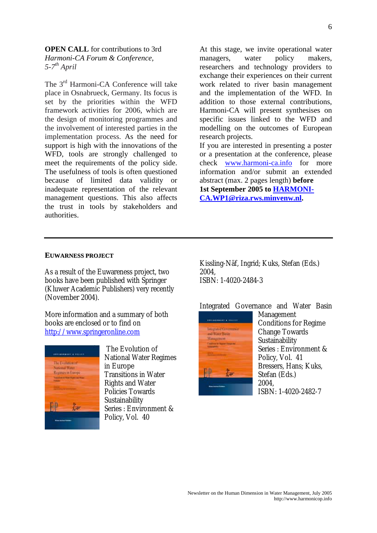#### **OPEN CALL** for contributions to 3rd *Harmoni-CA Forum & Conference,*

*5-7th April* 

The 3<sup>rd</sup> Harmoni-CA Conference will take place in Osnabrueck, Germany. Its focus is set by the priorities within the WFD framework activities for 2006, which are the design of monitoring programmes and the involvement of interested parties in the implementation process. As the need for support is high with the innovations of the WFD, tools are strongly challenged to meet the requirements of the policy side. The usefulness of tools is often questioned because of limited data validity or inadequate representation of the relevant management questions. This also affects the trust in tools by stakeholders and authorities.

At this stage, we invite operational water managers, water policy makers, researchers and technology providers to exchange their experiences on their current work related to river basin management and the implementation of the WFD. In addition to those external contributions, Harmoni-CA will present synthesises on specific issues linked to the WFD and modelling on the outcomes of European research projects. If you are interested in presenting a poster

or a presentation at the conference, please check www.harmoni-ca.info for more information and/or submit an extended abstract (max. 2 pages length) **before 1st September 2005 to HARMONI-CA.WP1@riza.rws.minvenw.nl.** 

#### **EUWARNESS PROJECT**

As a result of the Euwareness project, two books have been published with Springer (Kluwer Academic Publishers) very recently (November 2004).

More information and a summary of both books are enclosed or to find on http://www.springeronline.com



 The Evolution of National Water Regimes in Europe Transitions in Water Rights and Water Policies Towards Sustainability Series : Environment & Policy, Vol. 40

Kissling-Näf, Ingrid; Kuks, Stefan (Eds.) 2004, ISBN: 1-4020-2484-3

Integrated Governance and Water Basin



Management Conditions for Regime Change Towards Sustainability Series : Environment & Policy, Vol. 41 Bressers, Hans; Kuks, Stefan (Eds.) 2004, ISBN: 1-4020-2482-7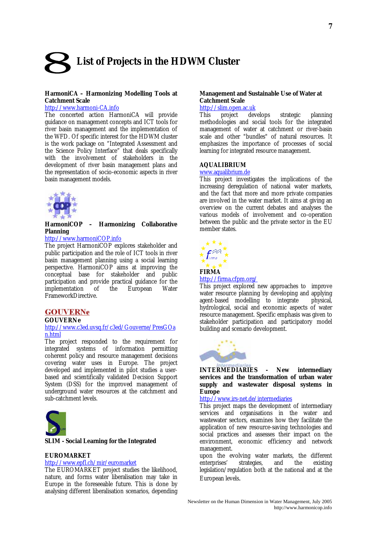# **List of Projects in the HDWM Cluster**

#### **HarmoniCA – Harmonizing Modelling Tools at Catchment Scale**

#### http://www.harmoni-CA.info

The concerted action HarmoniCA will provide guidance on management concepts and ICT tools for river basin management and the implementation of the WFD. Of specific interest for the HDWM cluster is the work package on "Integrated Assessment and the Science Policy Interface" that deals specifically with the involvement of stakeholders in the development of river basin management plans and the representation of socio-economic aspects in river basin management models.



#### **HarmoniCOP – Harmonizing Collaborative Planning**

#### http://www.harmoniCOP.info

The project HarmoniCOP explores stakeholder and public participation and the role of ICT tools in river basin management planning using a social learning perspective. HarmoniCOP aims at improving the conceptual base for stakeholder and public participation and provide practical guidance for the implementation of the European Water FrameworkDirective.

#### **GOUVERNe**

#### **GOUVERNe**

#### http://www.c3ed.uvsq.fr/c3ed/Gouverne/PresGOa n.html

The project responded to the requirement for integrated systems of information permitting coherent policy and resource management decisions covering water uses in Europe. The project developed and implemented in pilot studies a userbased and scientifically validated Decision Support System (DSS) for the improved management of underground water resources at the catchment and sub-catchment levels.



#### **SLIM - Social Learning for the Integrated**

#### **EUROMARKET**

#### http://www.epfl.ch/mir/euromarket

The EUROMARKET project studies the likelihood, nature, and forms water liberalisation may take in Europe in the foreseeable future. This is done by analysing different liberalisation scenarios, depending

#### **Management and Sustainable Use of Water at Catchment Scale**

## http://slim.open.ac.uk<br>This project dev

develops strategic planning methodologies and social tools for the integrated management of water at catchment or river-basin scale and other "bundles" of natural resources. It emphasizes the importance of processes of social learning for integrated resource management.

#### **AQUALIBRIUM**

#### www.aqualibrium.de

This project investigates the implications of the increasing deregulation of national water markets, and the fact that more and more private companies are involved in the water market. It aims at giving an overview on the current debates and analyses the various models of involvement and co-operation between the public and the private sector in the EU member states.



#### http://firma.cfpm.org/

This project explored new approaches to improve water resource planning by developing and applying<br>agent-based modelling to integrate physical. agent-based modelling to integrate hydrological, social and economic aspects of water resource management. Specific emphasis was given to stakeholder participation and participatory model building and scenario development.



**INTERMEDIARIES - New intermediary services and the transformation of urban water supply and wastewater disposal systems in Europe** 

#### http://www.irs-net.de/intermediaries

This project maps the development of intermediary services and organisations in the water and wastewater sectors, examines how they facilitate the application of new resource-saving technologies and social practices and assesses their impact on the environment, economic efficiency and network management.

upon the evolving water markets, the different enterprises' strategies, and the existing legislation/regulation both at the national and at the European levels.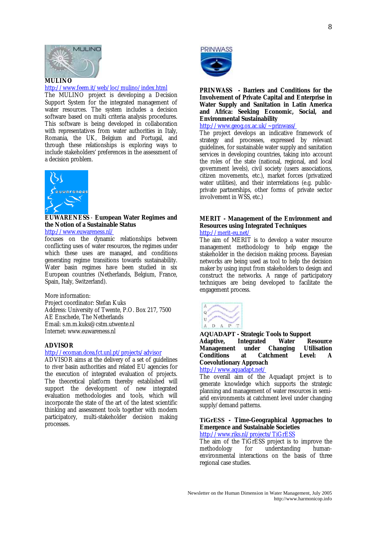

#### http://www.feem.it/web/loc/mulino/index.html

The MULINO project is developing a Decision Support System for the integrated management of water resources. The system includes a decision software based on multi criteria analysis procedures. This software is being developed in collaboration with representatives from water authorities in Italy, Romania, the UK, Belgium and Portugal, and through these relationships is exploring ways to include stakeholders' preferences in the assessment of a decision problem.



#### **EUWARENESS** - **European Water Regimes and the Notion of a Sustainable Status**

http://www.euwareness.nl/

focuses on the dynamic relationships between conflicting uses of water resources, the regimes under which these uses are managed, and conditions generating regime transitions towards sustainability. Water basin regimes have been studied in six European countries (Netherlands, Belgium, France, Spain, Italy, Switzerland).

More information: Project coordinator: Stefan Kuks Address: University of Twente, P.O. Box 217, 7500 AE Enschede, The Netherlands Email: s.m.m.kuks@cstm.utwente.nl Internet: www.euwareness.nl

#### **ADVISOR**

#### http://ecoman.dcea.fct.unl.pt/projects/advisor

ADVISOR aims at the delivery of a set of guidelines to river basin authorities and related EU agencies for the execution of integrated evaluation of projects. The theoretical platform thereby established will support the development of new integrated evaluation methodologies and tools, which will incorporate the state of the art of the latest scientific thinking and assessment tools together with modern participatory, multi-stakeholder decision making processes.



**PRINWASS - Barriers and Conditions for the Involvement of Private Capital and Enterprise in Water Supply and Sanitation in Latin America and Africa: Seeking Economic, Social, and Environmental Sustainability** 

http://www.geog.ox.ac.uk/~prinwass/

The project develops an indicative framework of strategy and processes, expressed by relevant guidelines, for sustainable water supply and sanitation services in developing countries, taking into account the roles of the state (national, regional, and local government levels), civil society (users associations, citizen movements, etc.), market forces (privatized water utilities), and their interrelations (e.g. publicprivate partnerships, other forms of private sector involvement in WSS, etc.)

#### **MERIT - Management of the Environment and Resources using Integrated Techniques**  http://merit-eu.net/

The aim of MERIT is to develop a water resource management methodology to help engage the stakeholder in the decision making process. Bayesian networks are being used as tool to help the decision maker by using input from stakeholders to design and construct the networks. A range of participatory techniques are being developed to facilitate the engagement process.



#### **AQUADAPT - Strategic Tools to Support Adaptive, Integrated Water Resource Management under Changing Utilisation Conditions at Catchment Level: A Coevolutionary Approach**

#### http://www.aquadapt.net/

The overall aim of the Aquadapt project is to generate knowledge which supports the strategic planning and management of water resources in semiarid environments at catchment level under changing supply/demand patterns.

#### **TiGrESS - Time-Geographical Approaches to Emergence and Sustainable Societies**

http://www.riks.nl/projects/TiGrESS

The aim of the TiGrESS project is to improve the<br>methodology for understanding humanunderstanding humanenvironmental interactions on the basis of three regional case studies.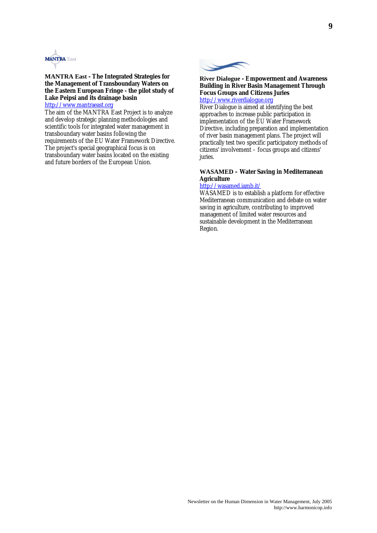

#### **MANTRA East - The Integrated Strategies for the Management of Transboundary Waters on the Eastern European Fringe - the pilot study of Lake Peipsi and its drainage basin**  http://www.mantraeast.org

The aim of the MANTRA East Project is to analyze and develop strategic planning methodologies and scientific tools for integrated water management in transboundary water basins following the requirements of the EU Water Framework Directive. The project's special geographical focus is on transboundary water basins located on the existing and future borders of the European Union.



#### **River Dialogue - Empowerment and Awareness Building in River Basin Management Through Focus Groups and Citizens Juries**  http://www.riverdialogue.org

River Dialogue is aimed at identifying the best approaches to increase public participation in implementation of the EU Water Framework Directive, including preparation and implementation of river basin management plans. The project will practically test two specific participatory methods of citizens' involvement – focus groups and citizens' juries.

#### **WASAMED – Water Saving in Mediterranean Agriculture**

#### http://wasamed.iamb.it/

WASAMED is to establish a platform for effective Mediterranean communication and debate on water saving in agriculture, contributing to improved management of limited water resources and sustainable development in the Mediterranean Region.